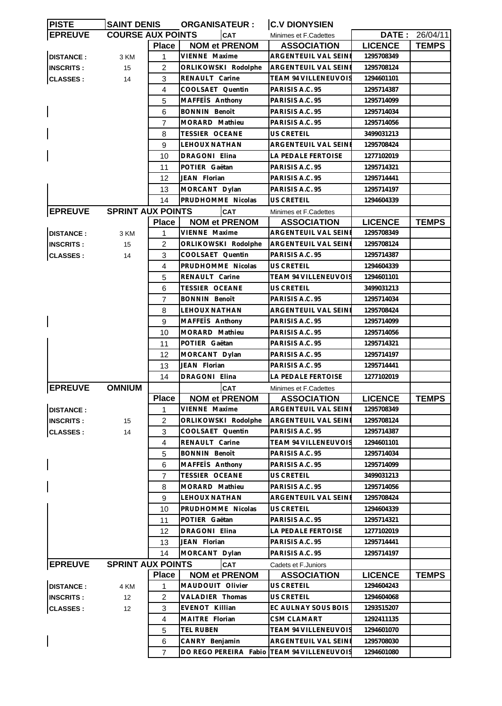| <b>PISTE</b>     | <b>SAINT DENIS</b>       |                | <b>ORGANISATEUR:</b>  | <b>C.V DIONYSIEN</b>        |                |                |
|------------------|--------------------------|----------------|-----------------------|-----------------------------|----------------|----------------|
| <b>EPREUVE</b>   | <b>COURSE AUX POINTS</b> |                | <b>CAT</b>            | Minimes et F.Cadettes       |                | DATE: 26/04/11 |
|                  |                          | <b>Place</b>   | <b>NOM et PRENOM</b>  | <b>ASSOCIATION</b>          | <b>LICENCE</b> | <b>TEMPS</b>   |
| <b>DISTANCE:</b> | 3 KM                     | 1              | VIENNE Maxime         | ARGENTEUIL VAL SEINE        | 1295708349     |                |
| <b>INSCRITS:</b> | 15                       | $\overline{c}$ | ORLIKOWSKI Rodolphe   | ARGENTEUIL VAL SEINE        | 1295708124     |                |
| <b>CLASSES:</b>  | 14                       | 3              | RENAULT Carine        | TEAM 94 VILLENEUVOIS        | 1294601101     |                |
|                  |                          | 4              | COOLSAET Quentin      | PARISIS A.C. 95             | 1295714387     |                |
|                  |                          | 5              | MAFFETS Anthony       | PARISIS A.C. 95             | 1295714099     |                |
|                  |                          | 6              | <b>BONNIN Benoît</b>  | PARISIS A.C. 95             | 1295714034     |                |
|                  |                          | 7              | MORARD Mathieu        | PARISIS A.C. 95             | 1295714056     |                |
|                  |                          | 8              | <b>TESSIER OCEANE</b> | <b>US CRETEIL</b>           | 3499031213     |                |
|                  |                          | 9              | <b>LEHOUX NATHAN</b>  | ARGENTEUIL VAL SEINE        | 1295708424     |                |
|                  |                          |                |                       |                             |                |                |
|                  |                          | 10             | DRAGONI Elina         | LA PEDALE FERTOISE          | 1277102019     |                |
|                  |                          | 11             | POTIER Gaëtan         | PARISIS A.C. 95             | 1295714321     |                |
|                  |                          | 12             | JEAN Florian          | PARISIS A.C. 95             | 1295714441     |                |
|                  |                          | 13             | MORCANT Dylan         | PARISIS A.C. 95             | 1295714197     |                |
|                  |                          | 14             | PRUDHOMME Nicolas     | <b>US CRETEIL</b>           | 1294604339     |                |
| <b>EPREUVE</b>   | <b>SPRINT AUX POINTS</b> |                | CAT                   | Minimes et F.Cadettes       |                |                |
|                  |                          | <b>Place</b>   | <b>NOM et PRENOM</b>  | <b>ASSOCIATION</b>          | <b>LICENCE</b> | <b>TEMPS</b>   |
| <b>DISTANCE:</b> | 3 KM                     | 1              | VIENNE Maxime         | ARGENTEUIL VAL SEINE        | 1295708349     |                |
| <b>INSCRITS:</b> | 15                       | 2              | ORLIKOWSKI Rodolphe   | ARGENTEUIL VAL SEINI        | 1295708124     |                |
| <b>CLASSES:</b>  | 14                       | 3              | COOLSAET Quentin      | PARISIS A.C. 95             | 1295714387     |                |
|                  |                          | 4              | PRUDHOMME Nicolas     | <b>US CRETEIL</b>           | 1294604339     |                |
|                  |                          | 5              | RENAULT Carine        | <b>TEAM 94 VILLENEUVOIS</b> | 1294601101     |                |
|                  |                          | 6              | <b>TESSIER OCEANE</b> | US CRETEIL                  | 3499031213     |                |
|                  |                          | 7              | <b>BONNIN Benoît</b>  | PARISIS A.C. 95             | 1295714034     |                |
|                  |                          | 8              | LEHOUX NATHAN         | ARGENTEUIL VAL SEINE        | 1295708424     |                |
|                  |                          | 9              | MAFFEIS Anthony       | PARISIS A.C. 95             | 1295714099     |                |
|                  |                          | 10             | MORARD Mathieu        | PARISIS A.C. 95             | 1295714056     |                |
|                  |                          | 11             | POTIER Gaëtan         | PARISIS A.C. 95             | 1295714321     |                |
|                  |                          | 12             | MORCANT Dylan         | PARISIS A.C. 95             | 1295714197     |                |
|                  |                          | 13             | JEAN Florian          | PARISIS A.C. 95             | 1295714441     |                |
|                  |                          | 14             | DRAGONI Elina         | LA PEDALE FERTOISE          | 1277102019     |                |
| <b>EPREUVE</b>   | <b>OMNIUM</b>            |                | <b>CAT</b>            | Minimes et F.Cadettes       |                |                |
|                  |                          | <b>Place</b>   | <b>NOM et PRENOM</b>  | <b>ASSOCIATION</b>          | <b>LICENCE</b> | <b>TEMPS</b>   |
| <b>DISTANCE:</b> |                          | 1              | VIENNE Maxime         | ARGENTEUIL VAL SEINI        | 1295708349     |                |
| <b>INSCRITS:</b> | 15                       | 2              | ORLIKOWSKI Rodolphe   | ARGENTEUIL VAL SEINE        | 1295708124     |                |
| <b>CLASSES:</b>  | 14                       | 3              | COOLSAET Quentin      | PARISIS A.C. 95             | 1295714387     |                |
|                  |                          | 4              | RENAULT Carine        | TEAM 94 VILLENEUVOIS        | 1294601101     |                |
|                  |                          | 5              | <b>BONNIN Benoît</b>  | PARISIS A.C. 95             | 1295714034     |                |
|                  |                          | 6              | MAFFETS Anthony       | PARISIS A.C. 95             | 1295714099     |                |
|                  |                          | $\overline{7}$ | TESSIER OCEANE        | US CRETEIL                  | 3499031213     |                |
|                  |                          | 8              | MORARD Mathieu        | PARISIS A.C. 95             | 1295714056     |                |
|                  |                          | 9              | LEHOUX NATHAN         | ARGENTEUIL VAL SEINE        | 1295708424     |                |
|                  |                          | 10             | PRUDHOMME Nicolas     | US CRETEIL                  | 1294604339     |                |
|                  |                          | 11             | POTIER Gaëtan         | PARISIS A.C. 95             | 1295714321     |                |
|                  |                          | 12             | DRAGONI Elina         | LA PEDALE FERTOISE          | 1277102019     |                |
|                  |                          | 13             | JEAN Florian          | PARISIS A.C. 95             | 1295714441     |                |
|                  |                          | 14             | MORCANT Dylan         | PARISIS A.C. 95             |                |                |
|                  |                          |                |                       |                             | 1295714197     |                |
| <b>EPREUVE</b>   | <b>SPRINT AUX POINTS</b> |                | <b>CAT</b>            | Cadets et F. Juniors        |                |                |
|                  |                          | <b>Place</b>   | <b>NOM et PRENOM</b>  | <b>ASSOCIATION</b>          | <b>LICENCE</b> | <b>TEMPS</b>   |
| <b>DISTANCE:</b> | 4 KM                     | 1              | MAUDOUIT Olivier      | US CRETEIL                  | 1294604243     |                |
| <b>INSCRITS:</b> | 12                       | $\overline{c}$ | VALADIER Thomas       | US CRETEIL                  | 1294604068     |                |
| <b>CLASSES:</b>  | 12                       | 3              | EVENOT Killian        | EC AULNAY SOUS BOIS         | 1293515207     |                |
|                  |                          | 4              | MAITRE Florian        | CSM CLAMART                 | 1292411135     |                |
|                  |                          | 5              | <b>TEL RUBEN</b>      | <b>TEAM 94 VILLENEUVOIS</b> | 1294601070     |                |
|                  |                          | 6              | CANRY Benjamin        | ARGENTEUIL VAL SEINE        | 1295708030     |                |
|                  |                          | $\overline{7}$ | DO REGO PEREIRA Fabio | TEAM 94 VILLENEUVOIS        | 1294601080     |                |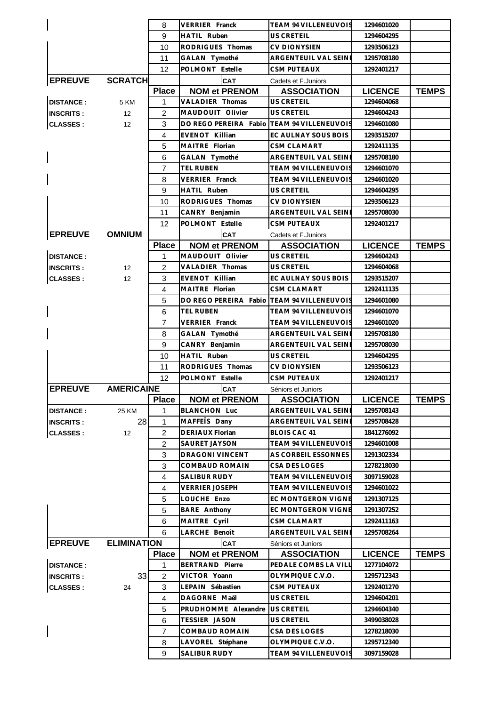|                  |                    | 8              | VERRIER Franck                          | TEAM 94 VILLENEUVOIS                            | 1294601020               |              |
|------------------|--------------------|----------------|-----------------------------------------|-------------------------------------------------|--------------------------|--------------|
|                  |                    | 9              | <b>HATIL Ruben</b>                      | <b>US CRETEIL</b>                               | 1294604295               |              |
|                  |                    | 10             | RODRIGUES Thomas                        | CV DIONYSIEN                                    | 1293506123               |              |
|                  |                    | 11             | GALAN Tymothé                           | ARGENTEUIL VAL SEINE                            | 1295708180               |              |
|                  |                    | 12             | POLMONT Estelle                         | <b>CSM PUTEAUX</b>                              | 1292401217               |              |
| <b>EPREUVE</b>   | <b>SCRATCH</b>     |                | <b>CAT</b>                              | Cadets et F. Juniors                            |                          |              |
|                  |                    | <b>Place</b>   | <b>NOM et PRENOM</b>                    | <b>ASSOCIATION</b>                              | <b>LICENCE</b>           | <b>TEMPS</b> |
| <b>DISTANCE:</b> | 5 KM               | 1              | VALADIER Thomas                         | US CRETEIL                                      | 1294604068               |              |
| <b>INSCRITS:</b> | 12                 | 2              | MAUDOUIT Olivier                        | <b>US CRETEIL</b>                               | 1294604243               |              |
| <b>CLASSES:</b>  | 12                 | 3              | DO REGO PEREIRA Fabio                   | <b>TEAM 94 VILLENEUVOIS</b>                     | 1294601080               |              |
|                  |                    | $\overline{4}$ | <b>EVENOT Killian</b>                   | EC AULNAY SOUS BOIS                             | 1293515207               |              |
|                  |                    | 5              | MAITRE Florian                          | CSM CLAMART                                     | 1292411135               |              |
|                  |                    | 6              | GALAN Tymothé                           | ARGENTEUIL VAL SEINE                            | 1295708180               |              |
|                  |                    | 7              | <b>TEL RUBEN</b>                        | TEAM 94 VILLENEUVOIS                            | 1294601070               |              |
|                  |                    | 8              | VERRIER Franck                          | TEAM 94 VILLENEUVOIS                            | 1294601020               |              |
|                  |                    | 9              | <b>HATIL Ruben</b>                      | US CRETEIL                                      | 1294604295               |              |
|                  |                    | 10             | RODRIGUES Thomas                        | CV DIONYSIEN                                    | 1293506123               |              |
|                  |                    | 11             | CANRY Benjamin                          | ARGENTEUIL VAL SEINI                            | 1295708030               |              |
|                  |                    | 12             | POLMONT Estelle                         | CSM PUTEAUX                                     | 1292401217               |              |
| <b>EPREUVE</b>   | <b>OMNIUM</b>      |                | <b>CAT</b>                              | Cadets et F.Juniors                             |                          |              |
|                  |                    | <b>Place</b>   | <b>NOM et PRENOM</b>                    | <b>ASSOCIATION</b>                              | <b>LICENCE</b>           | <b>TEMPS</b> |
| <b>DISTANCE:</b> |                    | 1              | MAUDOUIT Olivier                        | US CRETEIL                                      | 1294604243               |              |
| <b>INSCRITS:</b> | 12                 | 2              | VALADIER Thomas                         | <b>US CRETEIL</b>                               | 1294604068               |              |
| <b>CLASSES:</b>  | 12                 | 3              | EVENOT Killian                          | EC AULNAY SOUS BOIS                             | 1293515207               |              |
|                  |                    | 4              | MAITRE Florian                          | CSM CLAMART                                     | 1292411135               |              |
|                  |                    | 5              | DO REGO PEREIRA Fabio                   | TEAM 94 VILLENEUVOIS                            | 1294601080               |              |
|                  |                    | 6              | <b>TEL RUBEN</b>                        | TEAM 94 VILLENEUVOIS                            | 1294601070               |              |
|                  |                    | 7              | VERRIER Franck                          | TEAM 94 VILLENEUVOIS                            | 1294601020               |              |
|                  |                    | 8              | GALAN Tymothé                           | ARGENTEUIL VAL SEINE                            | 1295708180               |              |
|                  |                    | 9              | CANRY Benjamin                          | ARGENTEUIL VAL SEINE                            | 1295708030               |              |
|                  |                    | 10             | HATIL Ruben                             | US CRETEIL                                      | 1294604295               |              |
|                  |                    | 11             | RODRIGUES Thomas                        | CV DIONYSIEN                                    | 1293506123               |              |
|                  |                    |                | POLMONT Estelle                         | <b>CSM PUTEAUX</b>                              | 1292401217               |              |
|                  |                    | 12             |                                         |                                                 |                          |              |
| <b>EPREUVE</b>   | <b>AMERICAINE</b>  |                | <b>CAT</b>                              | Séniors et Juniors                              |                          |              |
|                  |                    | <b>Place</b>   | <b>NOM et PRENOM</b>                    | <b>ASSOCIATION</b>                              | <b>LICENCE</b>           | <b>TEMPS</b> |
| <b>DISTANCE:</b> | 25 KM              | 1              | <b>BLANCHON Luc</b>                     | ARGENTEUIL VAL SEINE                            | 1295708143               |              |
| <b>INSCRITS:</b> | 28                 | 1              | MAFFETS Dany                            | ARGENTEUIL VAL SEINE                            | 1295708428               |              |
| <b>CLASSES:</b>  | 12                 | 2              | DERIAUX Florian                         | <b>BLOIS CAC 41</b>                             | 1841276092               |              |
|                  |                    | 2              | SAURET JAYSON                           | <b>TEAM 94 VILLENEUVOIS</b>                     | 1294601008               |              |
|                  |                    | 3              | DRAGONI VINCENT                         | AS CORBEIL ESSONNES                             | 1291302334               |              |
|                  |                    | 3              | COMBAUD ROMAIN                          | CSA DES LOGES                                   | 1278218030               |              |
|                  |                    | 4              | SALIBUR RUDY                            | TEAM 94 VILLENEUVOIS                            | 3097159028               |              |
|                  |                    | 4              | <b>VERRIER JOSEPH</b>                   | TEAM 94 VILLENEUVOIS                            | 1294601022               |              |
|                  |                    | 5              | LOUCHE Enzo                             | EC MONTGERON VIGNE                              | 1291307125               |              |
|                  |                    | 5              | <b>BARE Anthony</b>                     | EC MONTGERON VIGNE                              | 1291307252               |              |
|                  |                    | 6              | MAITRE Cyril                            | CSM CLAMART                                     | 1292411163               |              |
|                  |                    | 6              | LARCHE Benoît                           | ARGENTEUIL VAL SEINE                            | 1295708264               |              |
| <b>EPREUVE</b>   | <b>ELIMINATION</b> |                | <b>CAT</b>                              | Séniors et Juniors                              |                          |              |
|                  |                    | <b>Place</b>   | <b>NOM et PRENOM</b>                    | <b>ASSOCIATION</b>                              | <b>LICENCE</b>           | <b>TEMPS</b> |
| <b>DISTANCE:</b> |                    | 1              | <b>BERTRAND Pierre</b>                  | PEDALE COMBS LA VILL                            | 1277104072               |              |
| <b>INSCRITS:</b> | 33                 | $\overline{2}$ | VICTOR Yoann                            | OLYMPIQUE C.V.O.                                | 1295712343               |              |
| <b>CLASSES:</b>  | 24                 | 3              | LEPAIN Sébastien                        | CSM PUTEAUX                                     | 1292401270               |              |
|                  |                    | $\overline{4}$ | DAGORNE Maël                            | <b>US CRETEIL</b>                               | 1294604201               |              |
|                  |                    | 5              | PRUDHOMME Alexandre                     | US CRETEIL                                      | 1294604340               |              |
|                  |                    | 6              | TESSIER JASON                           | US CRETEIL                                      | 3499038028               |              |
|                  |                    | $\overline{7}$ | COMBAUD ROMAIN                          | CSA DES LOGES                                   | 1278218030               |              |
|                  |                    | 8<br>9         | LAVOREL Stéphane<br><b>SALIBUR RUDY</b> | OLYMPIQUE C.V.O.<br><b>TEAM 94 VILLENEUVOIS</b> | 1295712340<br>3097159028 |              |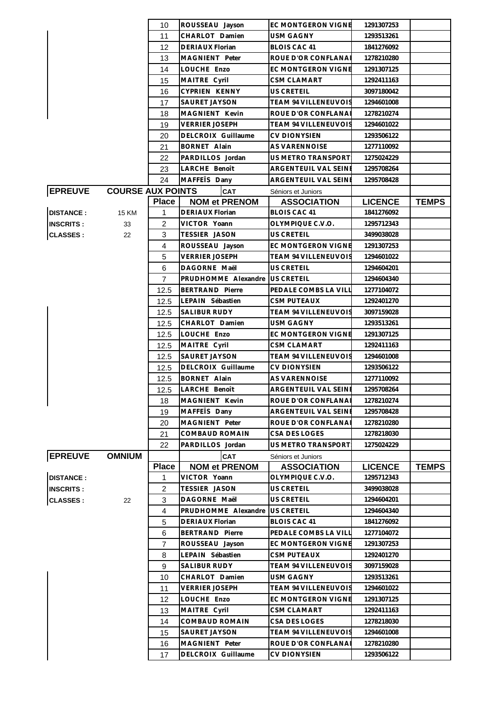|                  |                          | 10             | ROUSSEAU Jayson        | EC MONTGERON VIGNE          | 1291307253     |              |
|------------------|--------------------------|----------------|------------------------|-----------------------------|----------------|--------------|
|                  |                          | 11             | CHARLOT Damien         | USM GAGNY                   | 1293513261     |              |
|                  |                          | 12             | DERIAUX Florian        | <b>BLOIS CAC 41</b>         | 1841276092     |              |
|                  |                          | 13             | MAGNIENT Peter         | ROUE D'OR CONFLANAI         | 1278210280     |              |
|                  |                          | 14             | LOUCHE Enzo            | <b>EC MONTGERON VIGNE</b>   | 1291307125     |              |
|                  |                          | 15             | MAITRE Cyril           | CSM CLAMART                 | 1292411163     |              |
|                  |                          | 16             | <b>CYPRIEN KENNY</b>   | US CRETEIL                  | 3097180042     |              |
|                  |                          | 17             | SAURET JAYSON          | TEAM 94 VILLENEUVOIS        | 1294601008     |              |
|                  |                          | 18             | MAGNIENT Kevin         | ROUE D'OR CONFLANAI         | 1278210274     |              |
|                  |                          | 19             | <b>VERRIER JOSEPH</b>  | <b>TEAM 94 VILLENEUVOIS</b> | 1294601022     |              |
|                  |                          | 20             | DELCROIX Guillaume     | <b>CV DIONYSIEN</b>         | 1293506122     |              |
|                  |                          | 21             | <b>BORNET Alain</b>    | AS VARENNOISE               | 1277110092     |              |
|                  |                          | 22             | PARDILLOS Jordan       | US METRO TRANSPORT          | 1275024229     |              |
|                  |                          | 23             | LARCHE Benoît          | ARGENTEUIL VAL SEINE        | 1295708264     |              |
|                  |                          | 24             | MAFFETS Dany           | ARGENTEUIL VAL SEINE        | 1295708428     |              |
| <b>EPREUVE</b>   | <b>COURSE AUX POINTS</b> |                | <b>CAT</b>             | Séniors et Juniors          |                |              |
|                  |                          | <b>Place</b>   | <b>NOM et PRENOM</b>   | <b>ASSOCIATION</b>          | <b>LICENCE</b> | <b>TEMPS</b> |
|                  |                          |                |                        | <b>BLOIS CAC 41</b>         |                |              |
| <b>DISTANCE:</b> | <b>15 KM</b>             | 1              | <b>DERIAUX Florian</b> |                             | 1841276092     |              |
| <b>INSCRITS:</b> | 33                       | 2              | VICTOR Yoann           | OLYMPIQUE C.V.O.            | 1295712343     |              |
| <b>CLASSES:</b>  | 22                       | 3              | TESSIER JASON          | US CRETEIL                  | 3499038028     |              |
|                  |                          | $\overline{4}$ | ROUSSEAU Jayson        | EC MONTGERON VIGNE          | 1291307253     |              |
|                  |                          | 5              | <b>VERRIER JOSEPH</b>  | TEAM 94 VILLENEUVOIS        | 1294601022     |              |
|                  |                          | 6              | DAGORNE Maël           | <b>US CRETEIL</b>           | 1294604201     |              |
|                  |                          | $\overline{7}$ | PRUDHOMME Alexandre    | <b>US CRETEIL</b>           | 1294604340     |              |
|                  |                          | 12.5           | <b>BERTRAND Pierre</b> | PEDALE COMBS LA VILL        | 1277104072     |              |
|                  |                          | 12.5           | LEPAIN Sébastien       | CSM PUTEAUX                 | 1292401270     |              |
|                  |                          | 12.5           | SALIBUR RUDY           | TEAM 94 VILLENEUVOIS        | 3097159028     |              |
|                  |                          | 12.5           | CHARLOT Damien         | <b>USM GAGNY</b>            | 1293513261     |              |
|                  |                          | 12.5           | LOUCHE Enzo            | EC MONTGERON VIGNE          | 1291307125     |              |
|                  |                          | 12.5           | MAITRE Cyril           | <b>CSM CLAMART</b>          | 1292411163     |              |
|                  |                          | 12.5           | <b>SAURET JAYSON</b>   | TEAM 94 VILLENEUVOIS        | 1294601008     |              |
|                  |                          | 12.5           | DELCROIX Guillaume     | <b>CV DIONYSIEN</b>         | 1293506122     |              |
|                  |                          | 12.5           | <b>BORNET Alain</b>    | AS VARENNOISE               | 1277110092     |              |
|                  |                          | 12.5           | LARCHE Benoît          | ARGENTEUIL VAL SEINE        | 1295708264     |              |
|                  |                          | 18             | MAGNIENT Kevin         | ROUE D'OR CONFLANAI         | 1278210274     |              |
|                  |                          | 19             | MAFFETS Dany           | ARGENTEUIL VAL SEINE        | 1295708428     |              |
|                  |                          | 20             | MAGNIENT Peter         | ROUE D'OR CONFLANAI         | 1278210280     |              |
|                  |                          | 21             | <b>COMBAUD ROMAIN</b>  | CSA DES LOGES               | 1278218030     |              |
|                  |                          | 22             | PARDILLOS Jordan       | US METRO TRANSPORT          | 1275024229     |              |
| <b>EPREUVE</b>   | <b>OMNIUM</b>            |                | <b>CAT</b>             | Séniors et Juniors          |                |              |
|                  |                          | <b>Place</b>   | <b>NOM et PRENOM</b>   | <b>ASSOCIATION</b>          | <b>LICENCE</b> | <b>TEMPS</b> |
| <b>DISTANCE:</b> |                          | 1              | VICTOR Yoann           | OLYMPIQUE C.V.O.            | 1295712343     |              |
| <b>INSCRITS:</b> |                          | $\overline{2}$ | TESSIER JASON          | US CRETEIL                  | 3499038028     |              |
| <b>CLASSES:</b>  | 22                       | 3              | DAGORNE Maël           | US CRETEIL                  | 1294604201     |              |
|                  |                          | 4              | PRUDHOMME Alexandre    | US CRETEIL                  | 1294604340     |              |
|                  |                          | 5              | DERIAUX Florian        | <b>BLOIS CAC 41</b>         | 1841276092     |              |
|                  |                          | 6              | <b>BERTRAND Pierre</b> | PEDALE COMBS LA VILL        | 1277104072     |              |
|                  |                          | $\overline{7}$ | ROUSSEAU Jayson        | EC MONTGERON VIGNE          | 1291307253     |              |
|                  |                          | 8              | LEPAIN Sébastien       | <b>CSM PUTEAUX</b>          | 1292401270     |              |
|                  |                          | 9              | SALIBUR RUDY           | TEAM 94 VILLENEUVOIS        | 3097159028     |              |
|                  |                          | 10             | CHARLOT Damien         | <b>USM GAGNY</b>            | 1293513261     |              |
|                  |                          |                |                        |                             |                |              |
|                  |                          | 11             | <b>VERRIER JOSEPH</b>  | TEAM 94 VILLENEUVOIS        | 1294601022     |              |
|                  |                          | 12             | LOUCHE Enzo            | EC MONTGERON VIGNE          | 1291307125     |              |
|                  |                          | 13             | MAITRE Cyril           | CSM CLAMART                 | 1292411163     |              |
|                  |                          | 14             | COMBAUD ROMAIN         | CSA DES LOGES               | 1278218030     |              |
|                  |                          | 15             | <b>SAURET JAYSON</b>   | TEAM 94 VILLENEUVOIS        | 1294601008     |              |
|                  |                          | 16             | MAGNIENT Peter         | ROUE D'OR CONFLANA          | 1278210280     |              |
|                  |                          | 17             | DELCROIX Guillaume     | <b>CV DIONYSIEN</b>         | 1293506122     |              |